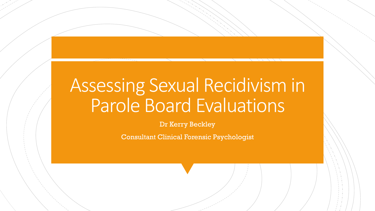# Assessing Sexual Recidivism in Parole Board Evaluations

Dr Kerry Beckley

Consultant Clinical Forensic Psychologist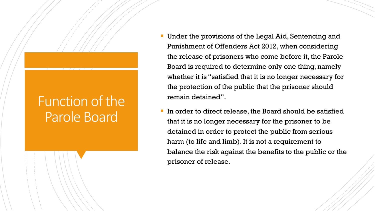#### Function of the Parole Board

- Under the provisions of the Legal Aid, Sentencing and Punishment of Offenders Act 2012, when considering the release of prisoners who come before it, the Parole Board is required to determine only one thing, namely whether it is "satisfied that it is no longer necessary for the protection of the public that the prisoner should remain detained".
- In order to direct release, the Board should be satisfied that it is no longer necessary for the prisoner to be detained in order to protect the public from serious harm (to life and limb). It is not a requirement to balance the risk against the benefits to the public or the prisoner of release.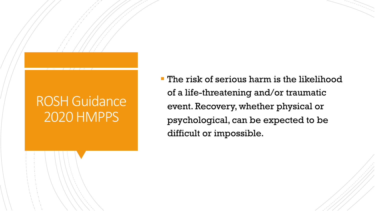#### ROSH Guidance 2020 HMPPS

§ The risk of serious harm is the likelihood of a life-threatening and/or traumatic event. Recovery, whether physical or psychological, can be expected to be difficult or impossible.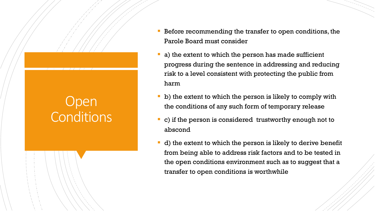## **Open** Conditions

- Before recommending the transfer to open conditions, the Parole Board must consider
- a) the extent to which the person has made sufficient progress during the sentence in addressing and reducing risk to a level consistent with protecting the public from harm
- b) the extent to which the person is likely to comply with the conditions of any such form of temporary release
- c) if the person is considered trustworthy enough not to abscond
- d) the extent to which the person is likely to derive benefit from being able to address risk factors and to be tested in the open conditions environment such as to suggest that a transfer to open conditions is worthwhile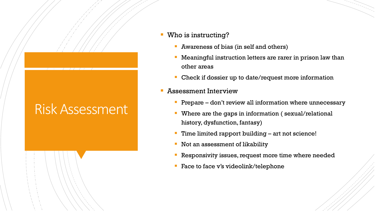## Risk Assessment

#### § Who is instructing?

- Awareness of bias (in self and others)
- Meaningful instruction letters are rarer in prison law than other areas
- Check if dossier up to date/request more information

#### § Assessment Interview

- Prepare don't review all information where unnecessary
- Where are the gaps in information (sexual/relational history, dysfunction, fantasy)
- Time limited rapport building art not science!
- § Not an assessment of likability
- Responsivity issues, request more time where needed
- Face to face v's videolink/telephone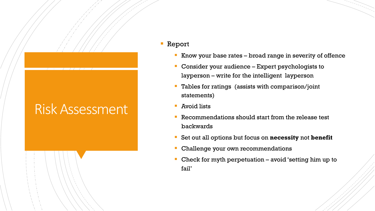#### Risk Assessment

#### § Report

- Know your base rates broad range in severity of offence
- Consider your audience Expert psychologists to layperson – write for the intelligent layperson
- Tables for ratings (assists with comparison/joint statements)
- § Avoid lists
- Recommendations should start from the release test backwards
- § Set out all options but focus on **necessity** not **benefit**
- Challenge your own recommendations
- Check for myth perpetuation avoid 'setting him up to fail'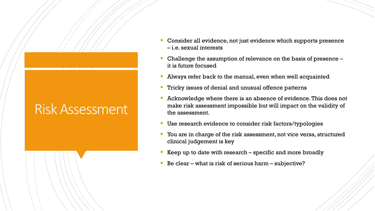#### Risk Assessment

- § Consider all evidence, not just evidence which supports presence – i.e. sexual interests
- Challenge the assumption of relevance on the basis of presence it is future focused
- Always refer back to the manual, even when well acquainted
- § Tricky issues of denial and unusual offence patterns
- § Acknowledge where there is an absence of evidence. This does not make risk assessment impossible but will impact on the validity of the assessment.
- Use research evidence to consider risk factors/typologies
- § You are in charge of the risk assessment, not vice versa, structured clinical judgement is key
- Keep up to date with research  $-$  specific and more broadly
- § Be clear what is risk of serious harm subjective?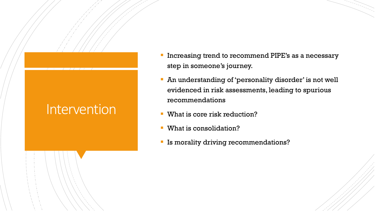#### Intervention

- Increasing trend to recommend PIPE's as a necessary step in someone's journey.
- An understanding of 'personality disorder' is not well evidenced in risk assessments, leading to spurious recommendations
- What is core risk reduction?
- What is consolidation?
- **Is morality driving recommendations?**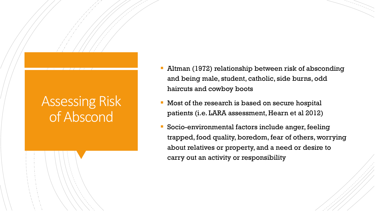### Assessing Risk of Abscond

- § Altman (1972) relationship between risk of absconding and being male, student, catholic, side burns, odd haircuts and cowboy boots
- Most of the research is based on secure hospital patients (i.e. LARA assessment, Hearn et al 2012)
- § Socio-environmental factors include anger, feeling trapped, food quality, boredom, fear of others, worrying about relatives or property, and a need or desire to carry out an activity or responsibility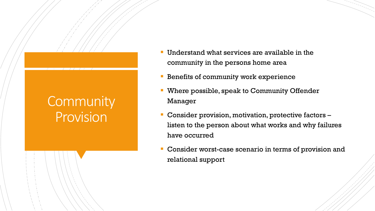### **Community Provision**

- Understand what services are available in the community in the persons home area
- § Benefits of community work experience
- § Where possible, speak to Community Offender Manager
- § Consider provision, motivation, protective factors listen to the person about what works and why failures have occurred
- § Consider worst-case scenario in terms of provision and relational support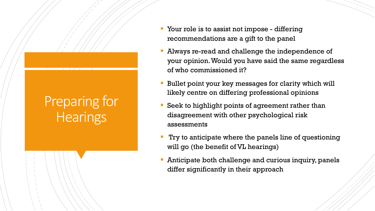## Preparing for **Hearings**

- § Your role is to assist not impose differing recommendations are a gift to the panel
- Always re-read and challenge the independence of your opinion. Would you have said the same regardless of who commissioned it?
- Bullet point your key messages for clarity which will likely centre on differing professional opinions
- Seek to highlight points of agreement rather than disagreement with other psychological risk assessments
- Try to anticipate where the panels line of questioning will go (the benefit of VL hearings)
- § Anticipate both challenge and curious inquiry, panels differ significantly in their approach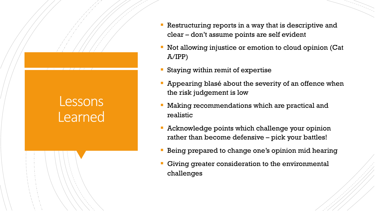#### Lessons Learned

- Restructuring reports in a way that is descriptive and clear – don't assume points are self evident
- Not allowing injustice or emotion to cloud opinion (Cat A/IPP)
- § Staying within remit of expertise
- Appearing blasé about the severity of an offence when the risk judgement is low
- Making recommendations which are practical and realistic
- Acknowledge points which challenge your opinion rather than become defensive – pick your battles!
- Being prepared to change one's opinion mid hearing
- Giving greater consideration to the environmental challenges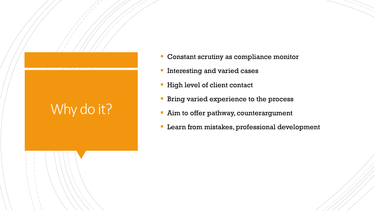## Why do it?

- Constant scrutiny as compliance monitor
- **Interesting and varied cases**
- High level of client contact
- **Bring varied experience to the process**
- Aim to offer pathway, counterargument
- Learn from mistakes, professional development